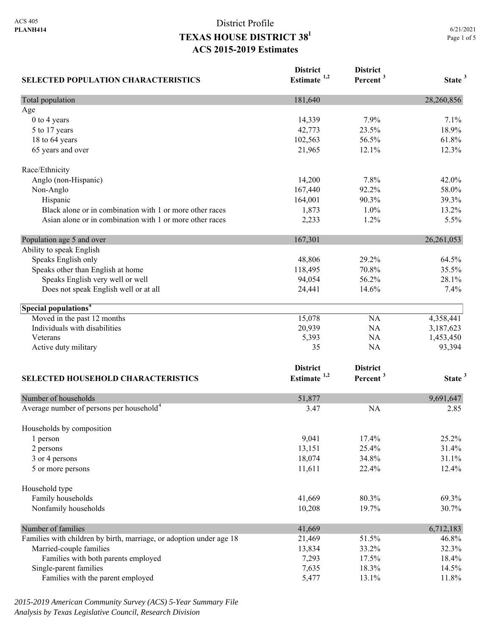| <b>SELECTED POPULATION CHARACTERISTICS</b>                          | <b>District</b><br>Estimate <sup>1,2</sup> | <b>District</b><br>Percent <sup>3</sup> | State <sup>3</sup> |
|---------------------------------------------------------------------|--------------------------------------------|-----------------------------------------|--------------------|
| Total population                                                    | 181,640                                    |                                         | 28,260,856         |
| Age                                                                 |                                            |                                         |                    |
| 0 to 4 years                                                        | 14,339                                     | 7.9%                                    | 7.1%               |
| 5 to 17 years                                                       | 42,773                                     | 23.5%                                   | 18.9%              |
| 18 to 64 years                                                      | 102,563                                    | 56.5%                                   | 61.8%              |
| 65 years and over                                                   | 21,965                                     | 12.1%                                   | 12.3%              |
| Race/Ethnicity                                                      |                                            |                                         |                    |
| Anglo (non-Hispanic)                                                | 14,200                                     | 7.8%                                    | 42.0%              |
| Non-Anglo                                                           | 167,440                                    | 92.2%                                   | 58.0%              |
| Hispanic                                                            | 164,001                                    | 90.3%                                   | 39.3%              |
| Black alone or in combination with 1 or more other races            | 1,873                                      | 1.0%                                    | 13.2%              |
| Asian alone or in combination with 1 or more other races            | 2,233                                      | 1.2%                                    | 5.5%               |
| Population age 5 and over                                           | 167,301                                    |                                         | 26, 261, 053       |
| Ability to speak English                                            |                                            |                                         |                    |
| Speaks English only                                                 | 48,806                                     | 29.2%                                   | 64.5%              |
| Speaks other than English at home                                   | 118,495                                    | 70.8%                                   | 35.5%              |
| Speaks English very well or well                                    | 94,054                                     | 56.2%                                   | 28.1%              |
| Does not speak English well or at all                               | 24,441                                     | 14.6%                                   | 7.4%               |
| Special populations <sup>4</sup>                                    |                                            |                                         |                    |
| Moved in the past 12 months                                         | 15,078                                     | <b>NA</b>                               | 4,358,441          |
| Individuals with disabilities                                       | 20,939                                     | NA                                      | 3,187,623          |
| Veterans                                                            | 5,393                                      | NA                                      | 1,453,450          |
| Active duty military                                                | 35                                         | NA                                      | 93,394             |
|                                                                     | <b>District</b>                            | <b>District</b>                         |                    |
| SELECTED HOUSEHOLD CHARACTERISTICS                                  | Estimate $1,2$                             | Percent <sup>3</sup>                    | State <sup>3</sup> |
| Number of households                                                | 51,877                                     |                                         | 9,691,647          |
| Average number of persons per household <sup>4</sup>                | 3.47                                       | <b>NA</b>                               | 2.85               |
| Households by composition                                           |                                            |                                         |                    |
| 1 person                                                            | 9,041                                      | 17.4%                                   | 25.2%              |
| 2 persons                                                           | 13,151                                     | 25.4%                                   | 31.4%              |
| 3 or 4 persons                                                      | 18,074                                     | 34.8%                                   | 31.1%              |
| 5 or more persons                                                   | 11,611                                     | 22.4%                                   | 12.4%              |
| Household type                                                      |                                            |                                         |                    |
| Family households                                                   | 41,669                                     | 80.3%                                   | 69.3%              |
| Nonfamily households                                                | 10,208                                     | 19.7%                                   | 30.7%              |
| Number of families                                                  | 41,669                                     |                                         | 6,712,183          |
| Families with children by birth, marriage, or adoption under age 18 | 21,469                                     | 51.5%                                   | 46.8%              |
| Married-couple families                                             | 13,834                                     | 33.2%                                   | 32.3%              |
| Families with both parents employed                                 | 7,293                                      | 17.5%                                   | 18.4%              |
| Single-parent families                                              | 7,635                                      | 18.3%                                   | 14.5%              |
| Families with the parent employed                                   | 5,477                                      | 13.1%                                   | 11.8%              |

*2015-2019 American Community Survey (ACS) 5-Year Summary File Analysis by Texas Legislative Council, Research Division*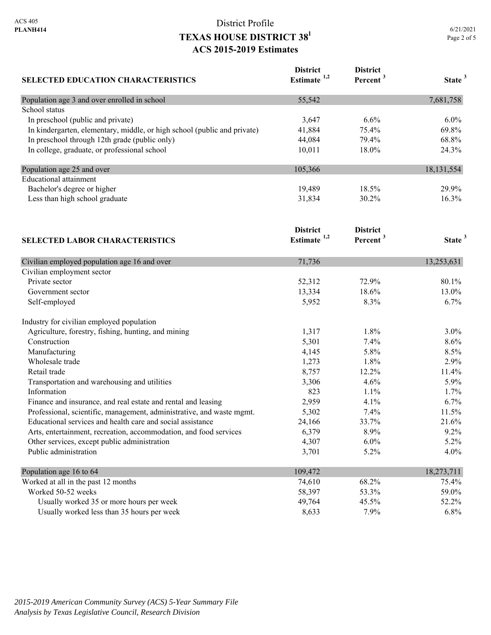| <b>SELECTED EDUCATION CHARACTERISTICS</b>                                | <b>District</b><br>Estimate $1,2$ | <b>District</b><br>Percent <sup>3</sup> | State <sup>3</sup> |
|--------------------------------------------------------------------------|-----------------------------------|-----------------------------------------|--------------------|
| Population age 3 and over enrolled in school                             | 55,542                            |                                         | 7,681,758          |
| School status                                                            |                                   |                                         |                    |
| In preschool (public and private)                                        | 3,647                             | 6.6%                                    | $6.0\%$            |
| In kindergarten, elementary, middle, or high school (public and private) | 41,884                            | 75.4%                                   | 69.8%              |
| In preschool through 12th grade (public only)                            | 44,084                            | 79.4%                                   | 68.8%              |
| In college, graduate, or professional school                             | 10,011                            | 18.0%                                   | 24.3%              |
| Population age 25 and over                                               | 105,366                           |                                         | 18, 131, 554       |
| <b>Educational</b> attainment                                            |                                   |                                         |                    |
| Bachelor's degree or higher                                              | 19,489                            | 18.5%                                   | 29.9%              |
| Less than high school graduate                                           | 31,834                            | 30.2%                                   | 16.3%              |
|                                                                          | <b>District</b>                   | <b>District</b>                         |                    |
| <b>SELECTED LABOR CHARACTERISTICS</b>                                    | Estimate <sup>1,2</sup>           | Percent <sup>3</sup>                    | State <sup>3</sup> |
| Civilian employed population age 16 and over                             | 71,736                            |                                         | 13,253,631         |
| Civilian employment sector                                               |                                   |                                         |                    |
| Private sector                                                           | 52,312                            | 72.9%                                   | 80.1%              |
| Government sector                                                        | 13,334                            | 18.6%                                   | 13.0%              |
| Self-employed                                                            | 5,952                             | 8.3%                                    | 6.7%               |
| Industry for civilian employed population                                |                                   |                                         |                    |
| Agriculture, forestry, fishing, hunting, and mining                      | 1,317                             | 1.8%                                    | $3.0\%$            |
| Construction                                                             | 5,301                             | 7.4%                                    | 8.6%               |
| Manufacturing                                                            | 4,145                             | 5.8%                                    | 8.5%               |
| Wholesale trade                                                          | 1,273                             | 1.8%                                    | 2.9%               |
| Retail trade                                                             | 8,757                             | 12.2%                                   | 11.4%              |
| Transportation and warehousing and utilities                             | 3,306                             | 4.6%                                    | 5.9%               |
| Information                                                              | 823                               | 1.1%                                    | 1.7%               |
| Finance and insurance, and real estate and rental and leasing            | 2,959                             | 4.1%                                    | 6.7%               |
| Professional, scientific, management, administrative, and waste mgmt.    | 5,302                             | 7.4%                                    | 11.5%              |
| Educational services and health care and social assistance               | 24,166                            | 33.7%                                   | 21.6%              |
| Arts, entertainment, recreation, accommodation, and food services        | 6,379                             | 8.9%                                    | 9.2%               |
| Other services, except public administration                             | 4,307                             | 6.0%                                    | 5.2%               |
| Public administration                                                    | 3,701                             | 5.2%                                    | 4.0%               |
| Population age 16 to 64                                                  | 109,472                           |                                         | 18,273,711         |
| Worked at all in the past 12 months                                      | 74,610                            | 68.2%                                   | 75.4%              |
| Worked 50-52 weeks                                                       | 58,397                            | 53.3%                                   | 59.0%              |
| Usually worked 35 or more hours per week                                 | 49,764                            | 45.5%                                   | 52.2%              |
| Usually worked less than 35 hours per week                               | 8,633                             | 7.9%                                    | 6.8%               |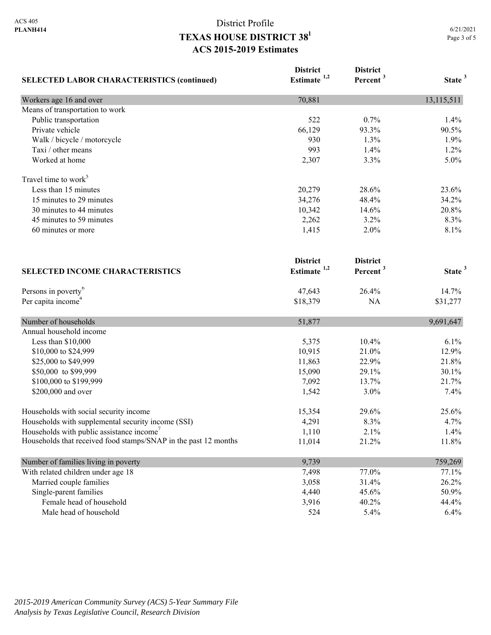| <b>SELECTED LABOR CHARACTERISTICS (continued)</b>               | <b>District</b>         | <b>District</b><br>Percent <sup>3</sup> | State <sup>3</sup> |
|-----------------------------------------------------------------|-------------------------|-----------------------------------------|--------------------|
|                                                                 | Estimate $1,2$          |                                         |                    |
| Workers age 16 and over                                         | 70,881                  |                                         | 13,115,511         |
| Means of transportation to work                                 |                         |                                         |                    |
| Public transportation                                           | 522                     | 0.7%                                    | 1.4%               |
| Private vehicle                                                 | 66,129                  | 93.3%                                   | 90.5%              |
| Walk / bicycle / motorcycle                                     | 930                     | 1.3%                                    | 1.9%               |
| Taxi / other means                                              | 993                     | 1.4%                                    | 1.2%               |
| Worked at home                                                  | 2,307                   | 3.3%                                    | 5.0%               |
| Travel time to work <sup>5</sup>                                |                         |                                         |                    |
| Less than 15 minutes                                            | 20,279                  | 28.6%                                   | 23.6%              |
| 15 minutes to 29 minutes                                        | 34,276                  | 48.4%                                   | 34.2%              |
| 30 minutes to 44 minutes                                        | 10,342                  | 14.6%                                   | 20.8%              |
| 45 minutes to 59 minutes                                        | 2,262                   | 3.2%                                    | 8.3%               |
| 60 minutes or more                                              | 1,415                   | 2.0%                                    | 8.1%               |
|                                                                 | <b>District</b>         | <b>District</b>                         |                    |
| <b>SELECTED INCOME CHARACTERISTICS</b>                          | Estimate <sup>1,2</sup> | Percent <sup>3</sup>                    | State <sup>3</sup> |
| Persons in poverty <sup>6</sup>                                 | 47,643                  | 26.4%                                   | 14.7%              |
| Per capita income <sup>4</sup>                                  | \$18,379                | NA                                      | \$31,277           |
| Number of households                                            | 51,877                  |                                         | 9,691,647          |
| Annual household income                                         |                         |                                         |                    |
| Less than \$10,000                                              | 5,375                   | 10.4%                                   | 6.1%               |
| \$10,000 to \$24,999                                            | 10,915                  | 21.0%                                   | 12.9%              |
| \$25,000 to \$49,999                                            | 11,863                  | 22.9%                                   | 21.8%              |
| \$50,000 to \$99,999                                            | 15,090                  | 29.1%                                   | 30.1%              |
| \$100,000 to \$199,999                                          | 7,092                   | 13.7%                                   | 21.7%              |
| \$200,000 and over                                              | 1,542                   | 3.0%                                    | 7.4%               |
| Households with social security income                          | 15,354                  | 29.6%                                   | 25.6%              |
| Households with supplemental security income (SSI)              | 4,291                   | 8.3%                                    | 4.7%               |
| Households with public assistance income'                       | 1,110                   | 2.1%                                    | 1.4%               |
| Households that received food stamps/SNAP in the past 12 months | 11,014                  | 21.2%                                   | 11.8%              |
| Number of families living in poverty                            | 9,739                   |                                         | 759,269            |
| With related children under age 18                              | 7,498                   | 77.0%                                   | 77.1%              |
| Married couple families                                         | 3,058                   | 31.4%                                   | 26.2%              |
| Single-parent families                                          | 4,440                   | 45.6%                                   | 50.9%              |
| Female head of household                                        | 3,916                   | 40.2%                                   | 44.4%              |
| Male head of household                                          | 524                     | 5.4%                                    | 6.4%               |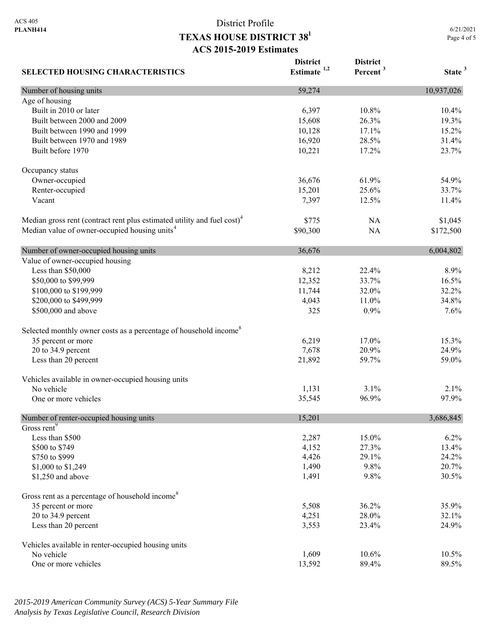**District** 

**District** 

**SELECTED HOUSING CHARACTERISTICS Estimate 1,2 Percent <sup>3</sup> State <sup>3</sup>** Number of housing units 10,937,026 Age of housing Built in 2010 or later 10.4% 10.4% 10.4% 10.4% 10.4% 10.4% 10.4% 10.4% 10.5 m Built between 2000 and 2009 15,608 26.3% 19.3% 19.3% Built between 1990 and 1999 10,128 17.1% 15.2% Built between 1970 and 1989 16,920 28.5% 31.4% Built before 1970 23.7% 23.7% Occupancy status Owner-occupied 36,676 61.9% 54.9% 54.9% Renter-occupied 15,201 25.6% 33.7% Vacant 11.4% 11.4% 12.5% 12.5% 12.5% 12.5% 12.5% 12.5% 12.5% 12.5% 12.5% 12.5% 12.5% 12.5% 12.5% 12.5% 12.5% 1 Median gross rent (contract rent plus estimated utility and fuel cost)<sup>4</sup> \$775 NA \$1,045 Median value of owner-occupied housing units<sup>4</sup> \$90,300 NA \$172,500 Number of owner-occupied housing units 36,676 6,004,802 Value of owner-occupied housing Less than \$50,000 8,212 22.4% 8.9% \$50,000 to \$99,999 12,352 33.7% 16.5% \$100,000 to \$199,999 11,744 32.0% 32.2% 32.2% \$200,000 to \$499,999 4,043 11.0% 34.8% \$500,000 and above 325 0.9% 7.6% 7.6% Selected monthly owner costs as a percentage of household income<sup>8</sup> 35 percent or more 15.3% 17.0% 15.3% 20 to 34.9 percent 24.9% 24.9% 26.9% 26.9% 26.9% 26.9% 26.9% 27.678 20.9% 27.678 27.678 27.678 27.678 27.678 27.578 27.678 27.678 27.578 27.678 27.578 27.578 27.578 27.578 27.578 27.578 27.578 27.578 27.578 27.578 27.578 2 Less than 20 percent 21,892 59.0% 59.0% 59.0% Vehicles available in owner-occupied housing units No vehicle  $1,131$   $3.1\%$   $2.1\%$ One or more vehicles 97.9% 97.9% Number of renter-occupied housing units 15,201 3,686,845 Gross rent<sup>9</sup> Less than \$500 2,287 15.0% 6.2% \$500 to \$749 13.4% 13.4% 13.4% 13.4% 13.4% 13.4% 13.4% 13.4% 13.4% 13.4% 13.4% 13.4% 13.4% 13.4% 13.4% 13.4% 13.4%  $\frac{$750 \text{ to } $999}$  24.2% 24.2% \$1,000 to \$1,249 1,490 9.8% 20.7% \$1,250 and above 30.5% 30.5% 30.5% 30.5% 30.5% 30.5% 30.5% 30.5% 30.5% 30.5% 30.5% 30.5% 30.5% 30.5% 30.5% 30.5% 30.5% 30.5% 30.5% 30.5% 30.5% 30.5% 30.5% 30.5% 30.5% 30.5% 30.5% 30.5% 30.5% 30.5% 30.5% 30.5% 30.5% 30.5% 3 Gross rent as a percentage of household income<sup>8</sup> 35 percent or more 35.9% 35.9% 35.9% 20 to 34.9 percent 32.1% 32.1% Less than 20 percent 24.9% 23.4% 24.9% Vehicles available in renter-occupied housing units No vehicle 1,609 10.5% 10.5% 10.5% 10.5% 10.5% 10.5% 10.5% 10.5% 10.5% 10.5% 10.5% 10.5% 10.5% 10.5% 10.5% 10.5% One or more vehicles 89.5% 89.5%